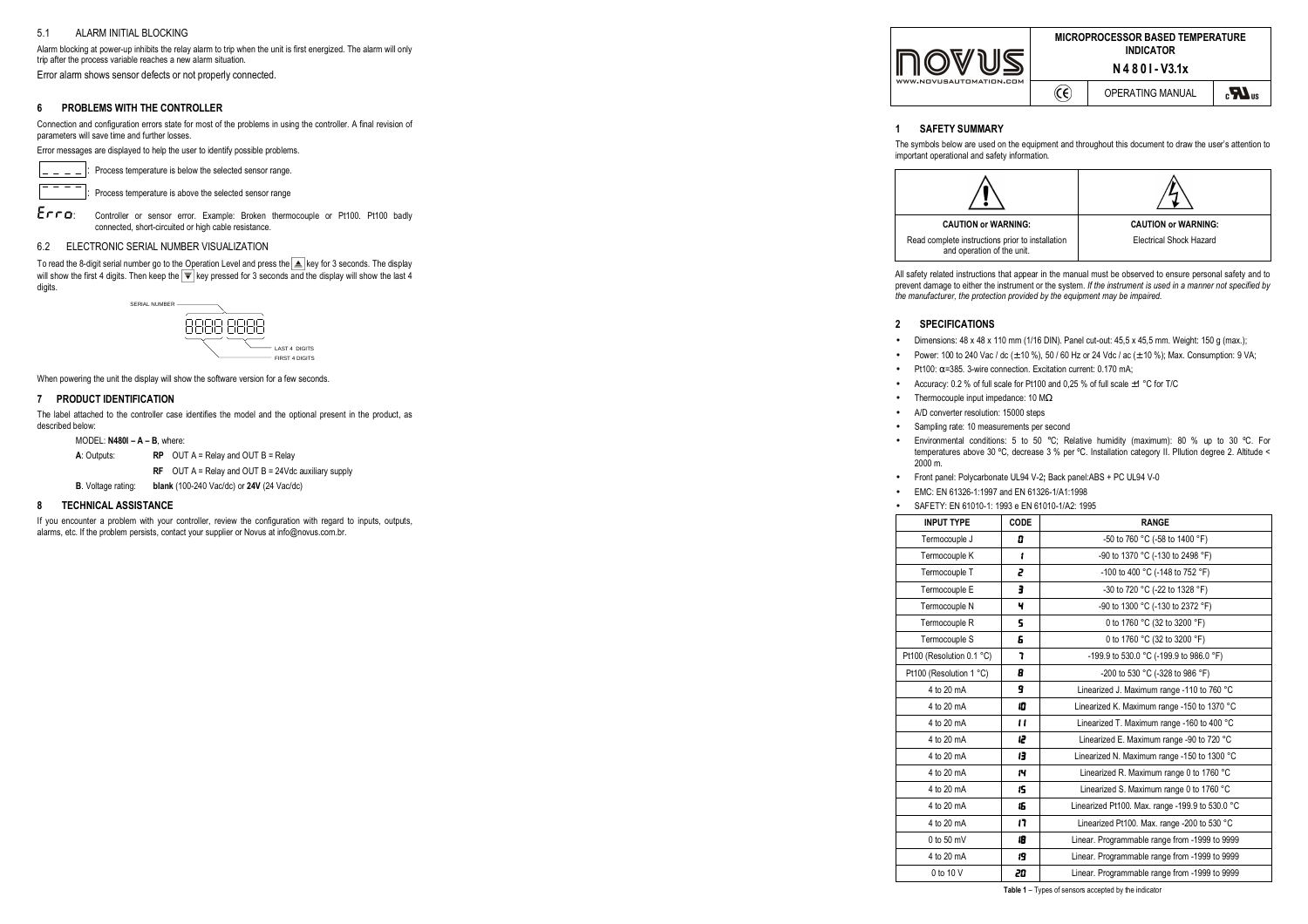### 5.1ALARM INITIAL BLOCKING

Alarm blocking at power-up inhibits the relay alarm to trip when the unit is first energized. The alarm will only trip after the process variable reaches a new alarm situation.

Error alarm shows sensor defects or not properly connected.

### **6PROBLEMS WITH THE CONTROLLER**

Connection and configuration errors state for most of the problems in using the controller. A final revision of parameters will save time and further losses.

Error messages are displayed to help the user to identify possible problems.

: Process temperature is below the selected sensor range.

Process temperature is above the selected sensor range

Erro: Controller or sensor error. Example: Broken thermocouple or Pt100. Pt100 badly connected, short-circuited or high cable resistance.

# 6.2 ELECTRONIC SERIAL NUMBER VISUALIZATION

To read the 8-digit serial number go to the Operation Level and press the  $\Box$  key for 3 seconds. The display will show the first 4 digits. Then keep the key pressed for 3 seconds and the display will show the last 4 digits.



When powering the unit the display will show the software version for a few seconds.

# **7 PRODUCT IDENTIFICATION**

The label attached to the controller case identifies the model and the optional present in the product, as described below:

MODEL: **N480I – A – B**, where:

**A**: Outputs: **RP** OUT A = Relay and OUT B = Relay

 **RF** OUT A = Relay and OUT B = 24Vdc auxiliary supply

**B**. Voltage rating: **blank** (100-240 Vac/dc) or **24V** (24 Vac/dc)

#### **8TECHNICAL ASSISTANCE**

If you encounter a problem with your controller, review the configuration with regard to inputs, outputs, alarms, etc. If the problem persists, contact your supplier or Novus at info@novus.com.br.

| WWW.NOVUSAUTOMATION.COM |   | <b>MICROPROCESSOR BASED TEMPERATURE</b><br><b>INDICATOR</b><br>N4801-V3.1x |  |  |
|-------------------------|---|----------------------------------------------------------------------------|--|--|
|                         | ে | OPERATING MANUAL                                                           |  |  |

## **1 SAFETY SUMMARY**

The symbols below are used on the equipment and throughout this document to draw the user's attention to important operational and safety information.



All safety related instructions that appear in the manual must be observed to ensure personal safety and to prevent damage to either the instrument or the system. *If the instrument is used in a manner not specified by the manufacturer, the protection provided by the equipment may be impaired.* 

# **2 SPECIFICATIONS**

•

- •Dimensions: 48 x 48 x 110 mm (1/16 DIN). Panel cut-out: 45,5 x 45,5 mm. Weight: 150 g (max.);
- •Power: 100 to 240 Vac / dc (± 10 %), 50 / 60 Hz or 24 Vdc / ac (± 10 %); Max. Consumption: 9 VA;
- •Pt100: α=385. 3-wire connection. Excitation current: 0.170 mA;
- Accuracy: 0.2 % of full scale for Pt100 and 0,25 % of full scale ±1 °C for T/C
- Thermocouple input impedance: 10 M<sup>Ω</sup>
- A/D converter resolution: 15000 steps •
- •Sampling rate: 10 measurements per second
- • Environmental conditions: 5 to 50 °C; Relative humidity (maximum): 80 % up to 30 ºC. For temperatures above 30 ºC, decrease 3 % per ºC. Installation category II. Pllution degree 2. Altitude <2000 m.
- •Front panel: Polycarbonate UL94 V-2**;** Back panel:ABS + PC UL94 V-0
- •EMC: EN 61326-1:1997 and EN 61326-1/A1:1998
- SAFETY: EN 61010-1: 1993 e EN 61010-1/A2: 1995

| <b>INPUT TYPE</b>         | CODE        | <b>RANGE</b>                                    |
|---------------------------|-------------|-------------------------------------------------|
| Termocouple J             | o           | -50 to 760 °C (-58 to 1400 °F)                  |
| Termocouple K             | ł           | -90 to 1370 °C (-130 to 2498 °F)                |
| Termocouple T             | 2           | -100 to 400 °C (-148 to 752 °F)                 |
| Termocouple E             | э           | -30 to 720 °C (-22 to 1328 °F)                  |
| Termocouple N             | ч           | -90 to 1300 °C (-130 to 2372 °F)                |
| Termocouple R             | 5           | 0 to 1760 °C (32 to 3200 °F)                    |
| Termocouple S             | Б           | 0 to 1760 °C (32 to 3200 °F)                    |
| Pt100 (Resolution 0.1 °C) | ٦           | -199.9 to 530.0 °C (-199.9 to 986.0 °F)         |
| Pt100 (Resolution 1 °C)   | 8           | -200 to 530 °C (-328 to 986 °F)                 |
| 4 to 20 mA                | 9           | Linearized J. Maximum range -110 to 760 °C      |
| 4 to 20 mA                | ß           | Linearized K. Maximum range -150 to 1370 °C     |
| 4 to 20 mA                | $^{\prime}$ | Linearized T. Maximum range -160 to 400 °C      |
| 4 to 20 mA                | ı2          | Linearized E. Maximum range -90 to 720 °C       |
| 4 to 20 mA                | я           | Linearized N. Maximum range -150 to 1300 °C     |
| 4 to 20 mA                | 14          | Linearized R. Maximum range 0 to 1760 °C        |
| 4 to 20 mA                | 15          | Linearized S. Maximum range 0 to 1760 °C        |
| 4 to 20 mA                | 15          | Linearized Pt100. Max. range -199.9 to 530.0 °C |
| 4 to 20 mA                | 17          | Linearized Pt100. Max. range -200 to 530 °C     |
| $0$ to 50 mV              | 18          | Linear. Programmable range from -1999 to 9999   |
| 4 to 20 mA                | 19          | Linear. Programmable range from -1999 to 9999   |
| 0 to 10 V                 | 20          | Linear. Programmable range from -1999 to 9999   |

**Table 1** – Types of sensors accepted by the indicator